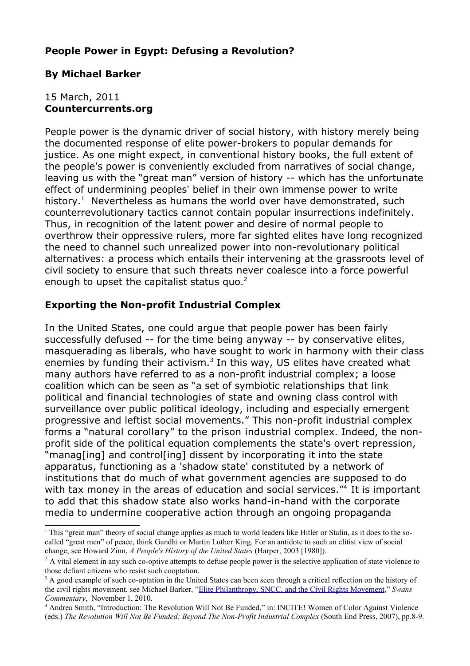### **People Power in Egypt: Defusing a Revolution?**

## **By Michael Barker**

#### 15 March, 2011 **Countercurrents.org**

People power is the dynamic driver of social history, with history merely being the documented response of elite power-brokers to popular demands for justice. As one might expect, in conventional history books, the full extent of the people's power is conveniently excluded from narratives of social change, leaving us with the "great man" version of history -- which has the unfortunate effect of undermining peoples' belief in their own immense power to write history.<sup>[1](#page-0-0)</sup> Nevertheless as humans the world over have demonstrated, such counterrevolutionary tactics cannot contain popular insurrections indefinitely. Thus, in recognition of the latent power and desire of normal people to overthrow their oppressive rulers, more far sighted elites have long recognized the need to channel such unrealized power into non-revolutionary political alternatives: a process which entails their intervening at the grassroots level of civil society to ensure that such threats never coalesce into a force powerful enough to upset the capitalist status quo.<sup>[2](#page-0-1)</sup>

## **Exporting the Non-profit Industrial Complex**

In the United States, one could argue that people power has been fairly successfully defused -- for the time being anyway -- by conservative elites, masquerading as liberals, who have sought to work in harmony with their class enemies by funding their activism.<sup>[3](#page-0-2)</sup> In this way, US elites have created what many authors have referred to as a non-profit industrial complex; a loose coalition which can be seen as "a set of symbiotic relationships that link political and financial technologies of state and owning class control with surveillance over public political ideology, including and especially emergent progressive and leftist social movements." This non-profit industrial complex forms a "natural corollary" to the prison industrial complex. Indeed, the nonprofit side of the political equation complements the state's overt repression, "manag[ing] and control[ing] dissent by incorporating it into the state apparatus, functioning as a 'shadow state' constituted by a network of institutions that do much of what government agencies are supposed to do with tax money in the areas of education and social services."<sup>4</sup> It is important to add that this shadow state also works hand-in-hand with the corporate media to undermine cooperative action through an ongoing propaganda

<span id="page-0-0"></span><sup>1</sup> This "great man" theory of social change applies as much to world leaders like Hitler or Stalin, as it does to the socalled "great men" of peace, think Gandhi or Martin Luther King. For an antidote to such an elitist view of social change, see Howard Zinn, *A People's History of the United States* (Harper, 2003 [1980]).

<span id="page-0-1"></span> $2^2$  A vital element in any such co-optive attempts to defuse people power is the selective application of state violence to those defiant citizens who resist such cooptation.

<span id="page-0-2"></span><sup>&</sup>lt;sup>3</sup> A good example of such co-optation in the United States can been seen through a critical reflection on the history of the civil rights movement, see Michael Barker, ["Elite Philanthropy, SNCC, and the Civil Rights Movement,](http://swans.com/library/art16/barker68.html)" *Swans Commentary*, November 1, 2010.

<span id="page-0-3"></span><sup>4</sup> Andrea Smith, "Introduction: The Revolution Will Not Be Funded," in: INCITE! Women of Color Against Violence (eds.) *The Revolution Will Not Be Funded: Beyond The Non-Profit Industrial Complex* (South End Press, 2007), pp.8-9.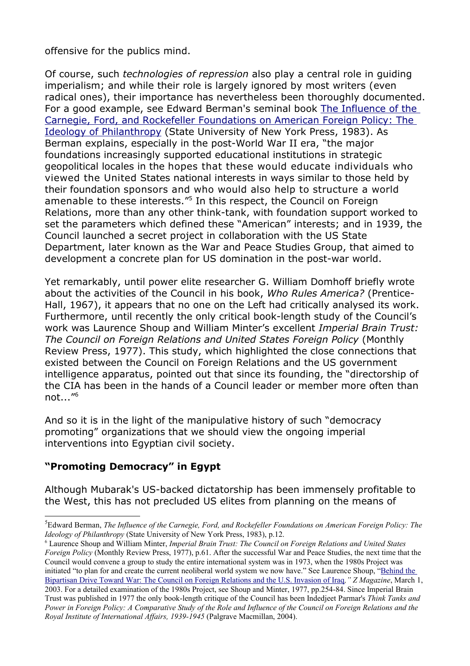offensive for the publics mind.

Of course, such *technologies of repression* also play a central role in guiding imperialism; and while their role is largely ignored by most writers (even radical ones), their importance has nevertheless been thoroughly documented. For a good example, see Edward Berman's seminal book [The Influence of the](http://dissidentvoice.org/2010/06/the-ideology-of-philanthropy/%20) [Carnegie, Ford, and Rockefeller Foundations on American Foreign Policy: The](http://dissidentvoice.org/2010/06/the-ideology-of-philanthropy/%20) [Ideology of Philanthropy](http://dissidentvoice.org/2010/06/the-ideology-of-philanthropy/%20) (State University of New York Press, 1983). As Berman explains, especially in the post-World War II era, "the major foundations increasingly supported educational institutions in strategic geopolitical locales in the hopes that these would educate individuals who viewed the United States national interests in ways similar to those held by their foundation sponsors and who would also help to structure a world amenable to these interests."<sup>[5](#page-1-0)</sup> In this respect, the Council on Foreign Relations, more than any other think-tank, with foundation support worked to set the parameters which defined these "American" interests; and in 1939, the Council launched a secret project in collaboration with the US State Department, later known as the War and Peace Studies Group, that aimed to development a concrete plan for US domination in the post-war world.

Yet remarkably, until power elite researcher G. William Domhoff briefly wrote about the activities of the Council in his book, *Who Rules America?* (Prentice-Hall, 1967), it appears that no one on the Left had critically analysed its work. Furthermore, until recently the only critical book-length study of the Council's work was Laurence Shoup and William Minter's excellent *Imperial Brain Trust: The Council on Foreign Relations and United States Foreign Policy* (Monthly Review Press, 1977). This study, which highlighted the close connections that existed between the Council on Foreign Relations and the US government intelligence apparatus, pointed out that since its founding, the "directorship of the CIA has been in the hands of a Council leader or member more often than not..."[6](#page-1-1)

And so it is in the light of the manipulative history of such "democracy promoting" organizations that we should view the ongoing imperial interventions into Egyptian civil society.

# **"Promoting Democracy" in Egypt**

Although Mubarak's US-backed dictatorship has been immensely profitable to the West, this has not precluded US elites from planning on the means of

<span id="page-1-1"></span>6 Laurence Shoup and William Minter, *Imperial Brain Trust: The Council on Foreign Relations and United States Foreign Policy* (Monthly Review Press, 1977), p.61. After the successful War and Peace Studies, the next time that the Council would convene a group to study the entire international system was in 1973, when the 1980s Project was initiated "to plan for and create the current neoliberal world system we now have." See Laurence Shoup, ["Behind the](http://www.zcommunications.org/behind-the-bipartisan-drive-toward-war-by-laurence-h-shoup) [Bipartisan Drive Toward War: The Council on Foreign Relations and the U.S. Invasion of Iraq](http://www.zcommunications.org/behind-the-bipartisan-drive-toward-war-by-laurence-h-shoup)*," Z Magazine*, March 1,

<span id="page-1-0"></span><sup>5</sup> Edward Berman, *The Influence of the Carnegie, Ford, and Rockefeller Foundations on American Foreign Policy: The Ideology of Philanthropy* (State University of New York Press, 1983), p.12.

<sup>2003.</sup> For a detailed examination of the 1980s Project, see Shoup and Minter, 1977, pp.254-84. Since Imperial Brain Trust was published in 1977 the only book-length critique of the Council has been Indedjeet Parmar's *Think Tanks and Power in Foreign Policy: A Comparative Study of the Role and Influence of the Council on Foreign Relations and the Royal Institute of International Affairs, 1939-1945* (Palgrave Macmillan, 2004).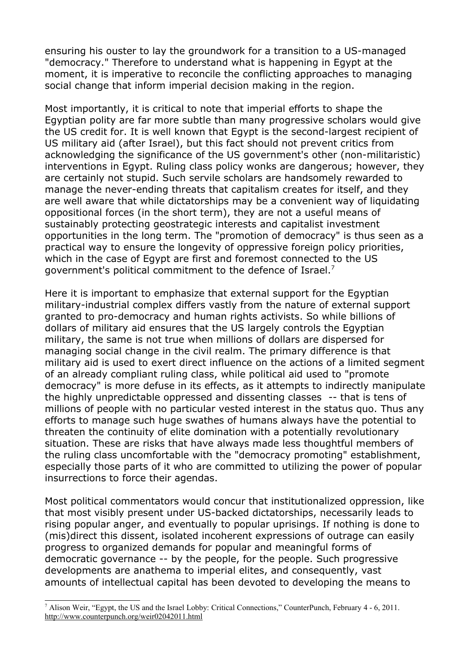ensuring his ouster to lay the groundwork for a transition to a US-managed "democracy." Therefore to understand what is happening in Egypt at the moment, it is imperative to reconcile the conflicting approaches to managing social change that inform imperial decision making in the region.

Most importantly, it is critical to note that imperial efforts to shape the Egyptian polity are far more subtle than many progressive scholars would give the US credit for. It is well known that Egypt is the second-largest recipient of US military aid (after Israel), but this fact should not prevent critics from acknowledging the significance of the US government's other (non-militaristic) interventions in Egypt. Ruling class policy wonks are dangerous; however, they are certainly not stupid. Such servile scholars are handsomely rewarded to manage the never-ending threats that capitalism creates for itself, and they are well aware that while dictatorships may be a convenient way of liquidating oppositional forces (in the short term), they are not a useful means of sustainably protecting geostrategic interests and capitalist investment opportunities in the long term. The "promotion of democracy" is thus seen as a practical way to ensure the longevity of oppressive foreign policy priorities, which in the case of Egypt are first and foremost connected to the US government's political commitment to the defence of Israel.[7](#page-2-0)

Here it is important to emphasize that external support for the Egyptian military-industrial complex differs vastly from the nature of external support granted to pro-democracy and human rights activists. So while billions of dollars of military aid ensures that the US largely controls the Egyptian military, the same is not true when millions of dollars are dispersed for managing social change in the civil realm. The primary difference is that military aid is used to exert direct influence on the actions of a limited segment of an already compliant ruling class, while political aid used to "promote democracy" is more defuse in its effects, as it attempts to indirectly manipulate the highly unpredictable oppressed and dissenting classes -- that is tens of millions of people with no particular vested interest in the status quo. Thus any efforts to manage such huge swathes of humans always have the potential to threaten the continuity of elite domination with a potentially revolutionary situation. These are risks that have always made less thoughtful members of the ruling class uncomfortable with the "democracy promoting" establishment, especially those parts of it who are committed to utilizing the power of popular insurrections to force their agendas.

Most political commentators would concur that institutionalized oppression, like that most visibly present under US-backed dictatorships, necessarily leads to rising popular anger, and eventually to popular uprisings. If nothing is done to (mis)direct this dissent, isolated incoherent expressions of outrage can easily progress to organized demands for popular and meaningful forms of democratic governance -- by the people, for the people. Such progressive developments are anathema to imperial elites, and consequently, vast amounts of intellectual capital has been devoted to developing the means to

<span id="page-2-0"></span><sup>&</sup>lt;sup>7</sup> Alison Weir, "Egypt, the US and the Israel Lobby: Critical Connections," CounterPunch, February 4 - 6, 2011. http://www.counterpunch.org/weir02042011.html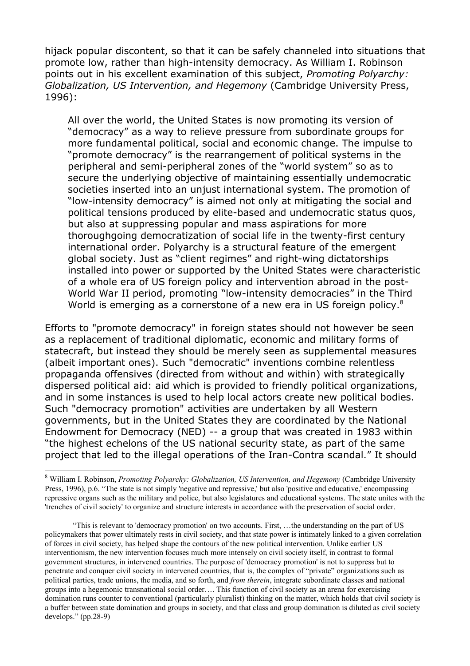hijack popular discontent, so that it can be safely channeled into situations that promote low, rather than high-intensity democracy. As William I. Robinson points out in his excellent examination of this subject, *Promoting Polyarchy: Globalization, US Intervention, and Hegemony* (Cambridge University Press, 1996):

All over the world, the United States is now promoting its version of "democracy" as a way to relieve pressure from subordinate groups for more fundamental political, social and economic change. The impulse to "promote democracy" is the rearrangement of political systems in the peripheral and semi-peripheral zones of the "world system" so as to secure the underlying objective of maintaining essentially undemocratic societies inserted into an unjust international system. The promotion of "low-intensity democracy" is aimed not only at mitigating the social and political tensions produced by elite-based and undemocratic status quos, but also at suppressing popular and mass aspirations for more thoroughgoing democratization of social life in the twenty-first century international order. Polyarchy is a structural feature of the emergent global society. Just as "client regimes" and right-wing dictatorships installed into power or supported by the United States were characteristic of a whole era of US foreign policy and intervention abroad in the post-World War II period, promoting "low-intensity democracies" in the Third World is emerging as a cornerstone of a new era in US foreign policy.<sup>[8](#page-3-0)</sup>

Efforts to "promote democracy" in foreign states should not however be seen as a replacement of traditional diplomatic, economic and military forms of statecraft, but instead they should be merely seen as supplemental measures (albeit important ones). Such "democratic" inventions combine relentless propaganda offensives (directed from without and within) with strategically dispersed political aid: aid which is provided to friendly political organizations, and in some instances is used to help local actors create new political bodies. Such "democracy promotion" activities are undertaken by all Western governments, but in the United States they are coordinated by the National Endowment for Democracy (NED) -- a group that was created in 1983 within "the highest echelons of the US national security state, as part of the same project that led to the illegal operations of the Iran-Contra scandal." It should

<span id="page-3-0"></span><sup>8</sup> William I. Robinson, *Promoting Polyarchy: Globalization, US Intervention, and Hegemony* (Cambridge University Press, 1996), p.6. "The state is not simply 'negative and repressive,' but also 'positive and educative,' encompassing repressive organs such as the military and police, but also legislatures and educational systems. The state unites with the 'trenches of civil society' to organize and structure interests in accordance with the preservation of social order.

<sup>&</sup>quot;This is relevant to 'democracy promotion' on two accounts. First, …the understanding on the part of US policymakers that power ultimately rests in civil society, and that state power is intimately linked to a given correlation of forces in civil society, has helped shape the contours of the new political intervention. Unlike earlier US interventionism, the new intervention focuses much more intensely on civil society itself, in contrast to formal government structures, in intervened countries. The purpose of 'democracy promotion' is not to suppress but to penetrate and conquer civil society in intervened countries, that is, the complex of "private" organizations such as political parties, trade unions, the media, and so forth, and *from therein*, integrate subordinate classes and national groups into a hegemonic transnational social order…. This function of civil society as an arena for exercising domination runs counter to conventional (particularly pluralist) thinking on the matter, which holds that civil society is a buffer between state domination and groups in society, and that class and group domination is diluted as civil society develops." (pp.28-9)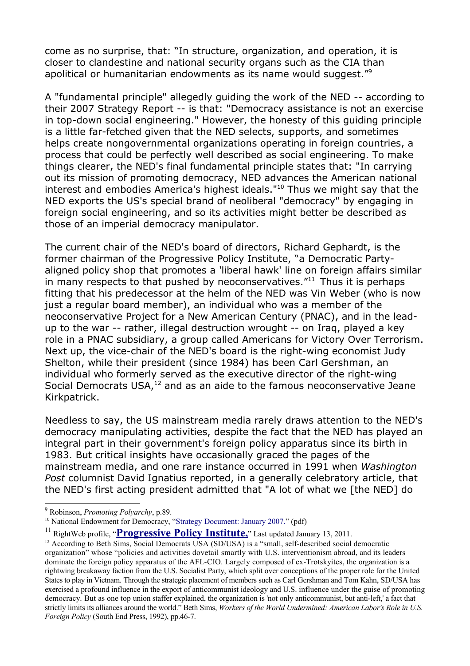come as no surprise, that: "In structure, organization, and operation, it is closer to clandestine and national security organs such as the CIA than apolitical or humanitarian endowments as its name would suggest."[9](#page-4-0)

A "fundamental principle" allegedly guiding the work of the NED -- according to their 2007 Strategy Report -- is that: "Democracy assistance is not an exercise in top-down social engineering." However, the honesty of this guiding principle is a little far-fetched given that the NED selects, supports, and sometimes helps create nongovernmental organizations operating in foreign countries, a process that could be perfectly well described as social engineering. To make things clearer, the NED's final fundamental principle states that: "In carrying out its mission of promoting democracy, NED advances the American national interest and embodies America's highest ideals."<sup>[10](#page-4-1)</sup> Thus we might say that the NED exports the US's special brand of neoliberal "democracy" by engaging in foreign social engineering, and so its activities might better be described as those of an imperial democracy manipulator.

The current chair of the NED's board of directors, Richard Gephardt, is the former chairman of the Progressive Policy Institute, "a Democratic Partyaligned policy shop that promotes a 'liberal hawk' line on foreign affairs similar in many respects to that pushed by neoconservatives. $11$ <sup>11</sup> Thus it is perhaps fitting that his predecessor at the helm of the NED was Vin Weber (who is now just a regular board member), an individual who was a member of the neoconservative Project for a New American Century (PNAC), and in the leadup to the war -- rather, illegal destruction wrought -- on Iraq, played a key role in a PNAC subsidiary, a group called Americans for Victory Over Terrorism. Next up, the vice-chair of the NED's board is the right-wing economist Judy Shelton, while their president (since 1984) has been Carl Gershman, an individual who formerly served as the executive director of the right-wing Social Democrats  $USA<sup>12</sup>$  $USA<sup>12</sup>$  $USA<sup>12</sup>$  and as an aide to the famous neoconservative Jeane Kirkpatrick.

Needless to say, the US mainstream media rarely draws attention to the NED's democracy manipulating activities, despite the fact that the NED has played an integral part in their government's foreign policy apparatus since its birth in 1983. But critical insights have occasionally graced the pages of the mainstream media, and one rare instance occurred in 1991 when *Washington Post* columnist David Ignatius reported, in a generally celebratory article, that the NED's first acting president admitted that "A lot of what we [the NED] do

<span id="page-4-0"></span><sup>9</sup> Robinson, *Promoting Polyarchy*, p.89.

<span id="page-4-1"></span><sup>&</sup>lt;sup>10</sup> National Endowment for Democracy, ["Strategy Document: January 2007."](http://www.ned.org/docs/strategy/strategy2007.pdf) (pdf)

<span id="page-4-2"></span><sup>&</sup>lt;sup>11</sup> RightWeb profile, "**Progressive Policy Institute**," Last updated January 13, 2011.

<span id="page-4-3"></span><sup>&</sup>lt;sup>12</sup> According to Beth Sims, Social Democrats USA (SD/USA) is a "small, self-described social democratic organization" whose "policies and activities dovetail smartly with U.S. interventionism abroad, and its leaders dominate the foreign policy apparatus of the AFL-CIO. Largely composed of ex-Trotskyites, the organization is a rightwing breakaway faction from the U.S. Socialist Party, which split over conceptions of the proper role for the United States to play in Vietnam. Through the strategic placement of members such as Carl Gershman and Tom Kahn, SD/USA has exercised a profound influence in the export of anticommunist ideology and U.S. influence under the guise of promoting democracy. But as one top union staffer explained, the organization is 'not only anticommunist, but anti-left,' a fact that strictly limits its alliances around the world." Beth Sims, *Workers of the World Undermined: American Labor's Role in U.S. Foreign Policy* (South End Press, 1992), pp.46-7.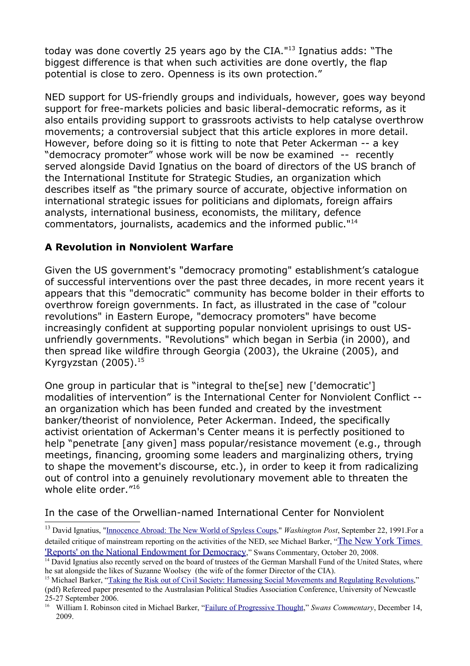today was done covertly 25 years ago by the CIA."[13](#page-5-0) Ignatius adds: "The biggest difference is that when such activities are done overtly, the flap potential is close to zero. Openness is its own protection."

NED support for US-friendly groups and individuals, however, goes way beyond support for free-markets policies and basic liberal-democratic reforms, as it also entails providing support to grassroots activists to help catalyse overthrow movements; a controversial subject that this article explores in more detail. However, before doing so it is fitting to note that Peter Ackerman -- a key "democracy promoter" whose work will be now be examined -- recently served alongside David Ignatius on the board of directors of the US branch of the International Institute for Strategic Studies, an organization which describes itself as "the primary source of accurate, objective information on international strategic issues for politicians and diplomats, foreign affairs analysts, international business, economists, the military, defence commentators, journalists, academics and the informed public."[14](#page-5-1)

## **A Revolution in Nonviolent Warfare**

Given the US government's "democracy promoting" establishment's catalogue of successful interventions over the past three decades, in more recent years it appears that this "democratic" community has become bolder in their efforts to overthrow foreign governments. In fact, as illustrated in the case of "colour revolutions" in Eastern Europe, "democracy promoters" have become increasingly confident at supporting popular nonviolent uprisings to oust USunfriendly governments. "Revolutions" which began in Serbia (in 2000), and then spread like wildfire through Georgia (2003), the Ukraine (2005), and Kyrgyzstan  $(2005).^{15}$  $(2005).^{15}$  $(2005).^{15}$ 

One group in particular that is "integral to the[se] new ['democratic'] modalities of intervention" is the International Center for Nonviolent Conflict - an organization which has been funded and created by the investment banker/theorist of nonviolence, Peter Ackerman. Indeed, the specifically activist orientation of Ackerman's Center means it is perfectly positioned to help "penetrate [any given] mass popular/resistance movement (e.g., through meetings, financing, grooming some leaders and marginalizing others, trying to shape the movement's discourse, etc.), in order to keep it from radicalizing out of control into a genuinely revolutionary movement able to threaten the whole elite order."[16](#page-5-3)

In the case of the Orwellian-named International Center for Nonviolent

<span id="page-5-0"></span><sup>&</sup>lt;sup>13</sup> David Ignatius, "Innocence Abroad: The New World of Spyless Coups," *Washington Post*, September 22, 1991. For a detailed critique of mainstream reporting on the activities of the NED, see Michael Barker, "[The New York Times](http://www.swans.com/library/art14/barker06.html) ['Reports' on the National Endowment for Democracy](http://www.swans.com/library/art14/barker06.html)," Swans Commentary, October 20, 2008.

<span id="page-5-1"></span> $14$  David Ignatius also recently served on the board of trustees of the German Marshall Fund of the United States, where he sat alongside the likes of Suzanne Woolsey (the wife of the former Director of the CIA).

<span id="page-5-2"></span><sup>&</sup>lt;sup>15</sup> Michael Barker, ["Taking the Risk out of Civil Society: Harnessing Social Movements and Regulating Revolutions,](http://www.newcastle.edu.au/Resources/Schools/Newcastle%20Business%20School/APSA/INTLREL/Barker-Michael.pdf)" (pdf) Refereed paper presented to the Australasian Political Studies Association Conference, University of Newcastle 25-27 September 2006.

<span id="page-5-3"></span><sup>&</sup>lt;sup>16</sup> William I. Robinson cited in Michael Barker, ["Failure of Progressive Thought,](http://www.swans.com/library/art15/barker38.html%20)" *Swans Commentary*, December 14, 2009.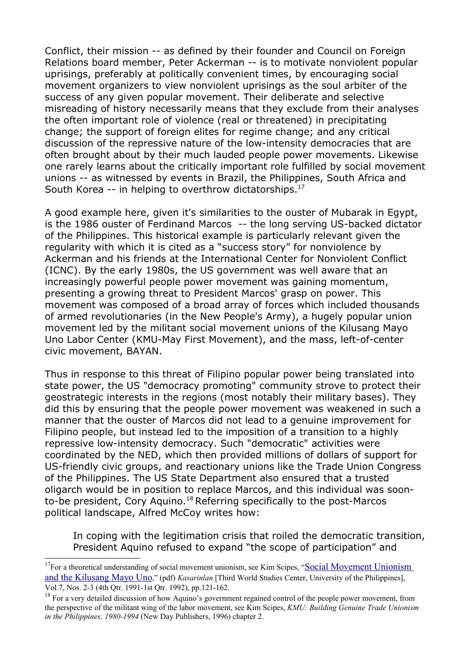Conflict, their mission -- as defined by their founder and Council on Foreign Relations board member, Peter Ackerman -- is to motivate nonviolent popular uprisings, preferably at politically convenient times, by encouraging social movement organizers to view nonviolent uprisings as the soul arbiter of the success of any given popular movement. Their deliberate and selective misreading of history necessarily means that they exclude from their analyses the often important role of violence (real or threatened) in precipitating change; the support of foreign elites for regime change; and any critical discussion of the repressive nature of the low-intensity democracies that are often brought about by their much lauded people power movements. Likewise one rarely learns about the critically important role fulfilled by social movement unions -- as witnessed by events in Brazil, the Philippines, South Africa and South Korea -- in helping to overthrow dictatorships. $17$ 

A good example here, given it's similarities to the ouster of Mubarak in Egypt, is the 1986 ouster of Ferdinand Marcos -- the long serving US-backed dictator of the Philippines. This historical example is particularly relevant given the regularity with which it is cited as a "success story" for nonviolence by Ackerman and his friends at the International Center for Nonviolent Conflict (ICNC). By the early 1980s, the US government was well aware that an increasingly powerful people power movement was gaining momentum, presenting a growing threat to President Marcos' grasp on power. This movement was composed of a broad array of forces which included thousands of armed revolutionaries (in the New People's Army), a hugely popular union movement led by the militant social movement unions of the Kilusang Mayo Uno Labor Center (KMU-May First Movement), and the mass, left-of-center civic movement, BAYAN.

Thus in response to this threat of Filipino popular power being translated into state power, the US "democracy promoting" community strove to protect their geostrategic interests in the regions (most notably their military bases). They did this by ensuring that the people power movement was weakened in such a manner that the ouster of Marcos did not lead to a genuine improvement for Filipino people, but instead led to the imposition of a transition to a highly repressive low-intensity democracy. Such "democratic" activities were coordinated by the NED, which then provided millions of dollars of support for US-friendly civic groups, and reactionary unions like the Trade Union Congress of the Philippines. The US State Department also ensured that a trusted oligarch would be in position to replace Marcos, and this individual was soonto-be president, Cory Aquino.[18](#page-6-1) Referring specifically to the post-Marcos political landscape, Alfred McCoy writes how:

In coping with the legitimation crisis that roiled the democratic transition, President Aquino refused to expand "the scope of participation" and

<span id="page-6-0"></span><sup>&</sup>lt;sup>17</sup>For a theoretical understanding of social movement unionism, see Kim Scipes, "[Social Movement Unionism](http://journals.upd.edu.ph/index.php/kasarinlan/article/view/1393/pdf_38) [and the Kilusang Mayo Uno](http://journals.upd.edu.ph/index.php/kasarinlan/article/view/1393/pdf_38)," (pdf) *Kasarinlan* [Third World Studies Center, University of the Philippines], Vol.7, Nos. 2-3 (4th Qtr. 1991-1st Qtr. 1992), pp.121-162.

<span id="page-6-1"></span> $18$  For a very detailed discussion of how Aquino's government regained control of the people power movement, from the perspective of the militant wing of the labor movement, see Kim Scipes, *KMU: Building Genuine Trade Unionism in the Philippines, 1980-1994* (New Day Publishers, 1996) chapter 2.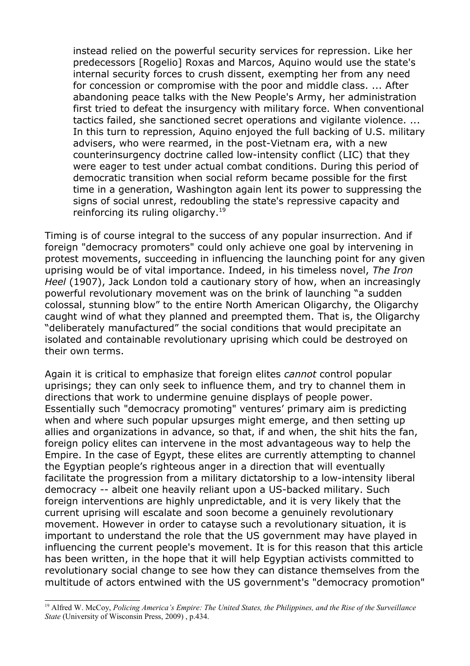instead relied on the powerful security services for repression. Like her predecessors [Rogelio] Roxas and Marcos, Aquino would use the state's internal security forces to crush dissent, exempting her from any need for concession or compromise with the poor and middle class. ... After abandoning peace talks with the New People's Army, her administration first tried to defeat the insurgency with military force. When conventional tactics failed, she sanctioned secret operations and vigilante violence. ... In this turn to repression, Aquino enjoyed the full backing of U.S. military advisers, who were rearmed, in the post-Vietnam era, with a new counterinsurgency doctrine called low-intensity conflict (LIC) that they were eager to test under actual combat conditions. During this period of democratic transition when social reform became possible for the first time in a generation, Washington again lent its power to suppressing the signs of social unrest, redoubling the state's repressive capacity and reinforcing its ruling oligarchy.<sup>[19](#page-7-0)</sup>

Timing is of course integral to the success of any popular insurrection. And if foreign "democracy promoters" could only achieve one goal by intervening in protest movements, succeeding in influencing the launching point for any given uprising would be of vital importance. Indeed, in his timeless novel, *The Iron Heel* (1907), Jack London told a cautionary story of how, when an increasingly powerful revolutionary movement was on the brink of launching "a sudden colossal, stunning blow" to the entire North American Oligarchy, the Oligarchy caught wind of what they planned and preempted them. That is, the Oligarchy "deliberately manufactured" the social conditions that would precipitate an isolated and containable revolutionary uprising which could be destroyed on their own terms.

Again it is critical to emphasize that foreign elites *cannot* control popular uprisings; they can only seek to influence them, and try to channel them in directions that work to undermine genuine displays of people power. Essentially such "democracy promoting" ventures' primary aim is predicting when and where such popular upsurges might emerge, and then setting up allies and organizations in advance, so that, if and when, the shit hits the fan, foreign policy elites can intervene in the most advantageous way to help the Empire. In the case of Egypt, these elites are currently attempting to channel the Egyptian people's righteous anger in a direction that will eventually facilitate the progression from a military dictatorship to a low-intensity liberal democracy -- albeit one heavily reliant upon a US-backed military. Such foreign interventions are highly unpredictable, and it is very likely that the current uprising will escalate and soon become a genuinely revolutionary movement. However in order to catayse such a revolutionary situation, it is important to understand the role that the US government may have played in influencing the current people's movement. It is for this reason that this article has been written, in the hope that it will help Egyptian activists committed to revolutionary social change to see how they can distance themselves from the multitude of actors entwined with the US government's "democracy promotion"

<span id="page-7-0"></span><sup>&</sup>lt;sup>19</sup> Alfred W. McCoy, *Policing America's Empire: The United States, the Philippines, and the Rise of the Surveillance State* (University of Wisconsin Press, 2009) , p.434.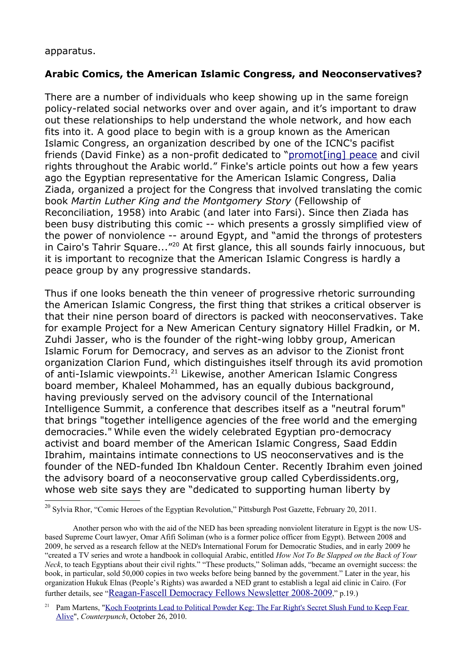#### apparatus.

#### **Arabic Comics, the American Islamic Congress, and Neoconservatives?**

There are a number of individuals who keep showing up in the same foreign policy-related social networks over and over again, and it's important to draw out these relationships to help understand the whole network, and how each fits into it. A good place to begin with is a group known as the American Islamic Congress, an organization described by one of the ICNC's pacifist friends (David Finke) as a non-profit dedicated to ["promot\[ing\] peace](http://peaceresources.wordpress.com/2011/02/16/the-power-of-ideas-and-training-comic-books-for-social-change/%20) and civil rights throughout the Arabic world." Finke's article points out how a few years ago the Egyptian representative for the American Islamic Congress, Dalia Ziada, organized a project for the Congress that involved translating the comic book *Martin Luther King and the Montgomery Story* (Fellowship of Reconciliation, 1958) into Arabic (and later into Farsi). Since then Ziada has been busy distributing this comic -- which presents a grossly simplified view of the power of nonviolence -- around Egypt, and "amid the throngs of protesters in Cairo's Tahrir Square..."[20](#page-8-0) At first glance, this all sounds fairly innocuous, but it is important to recognize that the American Islamic Congress is hardly a peace group by any progressive standards.

Thus if one looks beneath the thin veneer of progressive rhetoric surrounding the American Islamic Congress, the first thing that strikes a critical observer is that their nine person board of directors is packed with neoconservatives. Take for example Project for a New American Century signatory Hillel Fradkin, or M. Zuhdi Jasser, who is the founder of the right-wing lobby group, American Islamic Forum for Democracy, and serves as an advisor to the Zionist front organization Clarion Fund, which distinguishes itself through its avid promotion of anti-Islamic viewpoints.<sup>[21](#page-8-1)</sup> Likewise, another American Islamic Congress board member, Khaleel Mohammed, has an equally dubious background, having previously served on the advisory council of the International Intelligence Summit, a conference that describes itself as a "neutral forum" that brings "together intelligence agencies of the free world and the emerging democracies." While even the widely celebrated Egyptian pro-democracy activist and board member of the American Islamic Congress, Saad Eddin Ibrahim, maintains intimate connections to US neoconservatives and is the founder of the NED-funded Ibn Khaldoun Center. Recently Ibrahim even joined the advisory board of a neoconservative group called Cyberdissidents.org, whose web site says they are "dedicated to supporting human liberty by

<span id="page-8-0"></span><sup>&</sup>lt;sup>20</sup> Sylvia Rhor, "Comic Heroes of the Egyptian Revolution," Pittsburgh Post Gazette, February 20, 2011.

Another person who with the aid of the NED has been spreading nonviolent literature in Egypt is the now USbased Supreme Court lawyer, Omar Afifi Soliman (who is a former police officer from Egypt). Between 2008 and 2009, he served as a research fellow at the NED's International Forum for Democratic Studies, and in early 2009 he "created a TV series and wrote a handbook in colloquial Arabic, entitled *How Not To Be Slapped on the Back of Your Neck*, to teach Egyptians about their civil rights." "These products," Soliman adds, "became an overnight success: the book, in particular, sold 50,000 copies in two weeks before being banned by the government." Later in the year, his organization Hukuk Elnas (People's Rights) was awarded a NED grant to establish a legal aid clinic in Cairo. (For further details, see "[Reagan-Fascell Democracy Fellows Newsletter 2008-2009](http://173.205.125.108/docs/20082009RFNewsletter.pdf)," p.19.)

<span id="page-8-1"></span><sup>&</sup>lt;sup>21</sup> Pam Martens, "Koch Footprints Lead to Political Powder Keg: The Far Right's Secret Slush Fund to Keep Fear Alive", *Counterpunch*, October 26, 2010.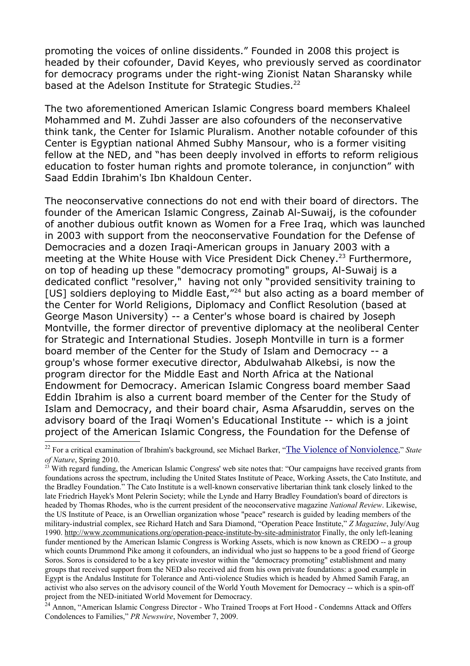promoting the voices of online dissidents." Founded in 2008 this project is headed by their cofounder, David Keyes, who previously served as coordinator for democracy programs under the right-wing Zionist Natan Sharansky while based at the Adelson Institute for Strategic Studies.<sup>[22](#page-9-0)</sup>

The two aforementioned American Islamic Congress board members Khaleel Mohammed and M. Zuhdi Jasser are also cofounders of the neconservative think tank, the Center for Islamic Pluralism. Another notable cofounder of this Center is Egyptian national Ahmed Subhy Mansour, who is a former visiting fellow at the NED, and "has been deeply involved in efforts to reform religious education to foster human rights and promote tolerance, in conjunction" with Saad Eddin Ibrahim's Ibn Khaldoun Center.

The neoconservative connections do not end with their board of directors. The founder of the American Islamic Congress, Zainab Al-Suwaij, is the cofounder of another dubious outfit known as Women for a Free Iraq, which was launched in 2003 with support from the neoconservative Foundation for the Defense of Democracies and a dozen Iraqi-American groups in January 2003 with a meeting at the White House with Vice President Dick Cheney.<sup>[23](#page-9-1)</sup> Furthermore, on top of heading up these "democracy promoting" groups, Al-Suwaij is a dedicated conflict "resolver," having not only "provided sensitivity training to [US] soldiers deploying to Middle East,"<sup>[24](#page-9-2)</sup> but also acting as a board member of the Center for World Religions, Diplomacy and Conflict Resolution (based at George Mason University) -- a Center's whose board is chaired by Joseph Montville, the former director of preventive diplomacy at the neoliberal Center for Strategic and International Studies. Joseph Montville in turn is a former board member of the Center for the Study of Islam and Democracy -- a group's whose former executive director, Abdulwahab Alkebsi, is now the program director for the Middle East and North Africa at the National Endowment for Democracy. American Islamic Congress board member Saad Eddin Ibrahim is also a current board member of the Center for the Study of Islam and Democracy, and their board chair, Asma Afsaruddin, serves on the advisory board of the Iraqi Women's Educational Institute -- which is a joint project of the American Islamic Congress, the Foundation for the Defense of

<span id="page-9-2"></span><sup>24</sup> Annon, "American Islamic Congress Director - Who Trained Troops at Fort Hood - Condemns Attack and Offers Condolences to Families," *PR Newswire*, November 7, 2009.

<span id="page-9-0"></span><sup>&</sup>lt;sup>22</sup> For a critical examination of Ibrahim's background, see Michael Barker, "[The Violence of Nonviolence](http://www.stateofnature.org/violenceOfNonviolence.html%20%20)," *State of Nature*, Spring 2010.

<span id="page-9-1"></span> $2<sup>3</sup>$  With regard funding, the American Islamic Congress' web site notes that: "Our campaigns have received grants from foundations across the spectrum, including the United States Institute of Peace, Working Assets, the Cato Institute, and the Bradley Foundation." The Cato Institute is a well-known conservative libertarian think tank closely linked to the late Friedrich Hayek's Mont Pelerin Society; while the Lynde and Harry Bradley Foundation's board of directors is headed by Thomas Rhodes, who is the current president of the neoconservative magazine *National Review*. Likewise, the US Institute of Peace, is an Orwellian organization whose "peace" research is guided by leading members of the military-industrial complex, see Richard Hatch and Sara Diamond, "Operation Peace Institute," *Z Magazine*, July/Aug 1990. http://www.zcommunications.org/operation-peace-institute-by-site-administrator Finally, the only left-leaning funder mentioned by the American Islamic Congress is Working Assets, which is now known as CREDO -- a group which counts Drummond Pike among it cofounders, an individual who just so happens to be a good friend of George Soros. Soros is considered to be a key private investor within the "democracy promoting" establishment and many groups that received support from the NED also received aid from his own private foundations: a good example in Egypt is the Andalus Institute for Tolerance and Anti-violence Studies which is headed by Ahmed Samih Farag, an activist who also serves on the advisory council of the World Youth Movement for Democracy -- which is a spin-off project from the NED-initiated World Movement for Democracy.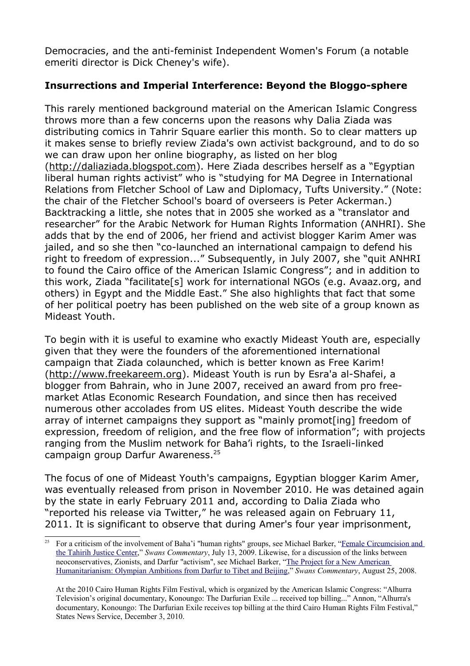Democracies, and the anti-feminist Independent Women's Forum (a notable emeriti director is Dick Cheney's wife).

## **Insurrections and Imperial Interference: Beyond the Bloggo-sphere**

This rarely mentioned background material on the American Islamic Congress throws more than a few concerns upon the reasons why Dalia Ziada was distributing comics in Tahrir Square earlier this month. So to clear matters up it makes sense to briefly review Ziada's own activist background, and to do so we can draw upon her online biography, as listed on her blog (http://daliaziada.blogspot.com). Here Ziada describes herself as a "Egyptian liberal human rights activist" who is "studying for MA Degree in International Relations from Fletcher School of Law and Diplomacy, Tufts University." (Note: the chair of the Fletcher School's board of overseers is Peter Ackerman.) Backtracking a little, she notes that in 2005 she worked as a "translator and researcher" for the Arabic Network for Human Rights Information (ANHRI). She adds that by the end of 2006, her friend and activist blogger Karim Amer was jailed, and so she then "co-launched an international campaign to defend his right to freedom of expression..." Subsequently, in July 2007, she "quit ANHRI to found the Cairo office of the American Islamic Congress"; and in addition to this work, Ziada "facilitate[s] work for international NGOs (e.g. Avaaz.org, and others) in Egypt and the Middle East." She also highlights that fact that some of her political poetry has been published on the web site of a group known as Mideast Youth.

To begin with it is useful to examine who exactly Mideast Youth are, especially given that they were the founders of the aforementioned international campaign that Ziada colaunched, which is better known as Free Karim! (http://www.freekareem.org). Mideast Youth is run by Esra'a al-Shafei, a blogger from Bahrain, who in June 2007, received an award from pro freemarket Atlas Economic Research Foundation, and since then has received numerous other accolades from US elites. Mideast Youth describe the wide array of internet campaigns they support as "mainly promot[ing] freedom of expression, freedom of religion, and the free flow of information"; with projects ranging from the Muslim network for Baha'i rights, to the Israeli-linked campaign group Darfur Awareness.<sup>[25](#page-10-0)</sup>

The focus of one of Mideast Youth's campaigns, Egyptian blogger Karim Amer, was eventually released from prison in November 2010. He was detained again by the state in early February 2011 and, according to Dalia Ziada who "reported his release via Twitter," he was released again on February 11, 2011. It is significant to observe that during Amer's four year imprisonment,

<span id="page-10-0"></span><sup>25</sup> For a criticism of the involvement of Baha'i "human rights" groups, see Michael Barker, ["Female Circumcision and](http://www.swans.com/library/art15/barker24.html) [the Tahirih Justice Center,](http://www.swans.com/library/art15/barker24.html)" *Swans Commentary*, July 13, 2009. Likewise, for a discussion of the links between neoconservatives, Zionists, and Darfur "activism", see Michael Barker, ["The Project for a New American](http://www.swans.com/library/art14/barker04.html%20) [Humanitarianism: Olympian Ambitions from Darfur to Tibet and Beijing,](http://www.swans.com/library/art14/barker04.html%20)" *Swans Commentary*, August 25, 2008.

At the 2010 Cairo Human Rights Film Festival, which is organized by the American Islamic Congress: "Alhurra Television's original documentary, Konoungo: The Darfurian Exile ... received top billing..." Annon, "Alhurra's documentary, Konoungo: The Darfurian Exile receives top billing at the third Cairo Human Rights Film Festival," States News Service, December 3, 2010.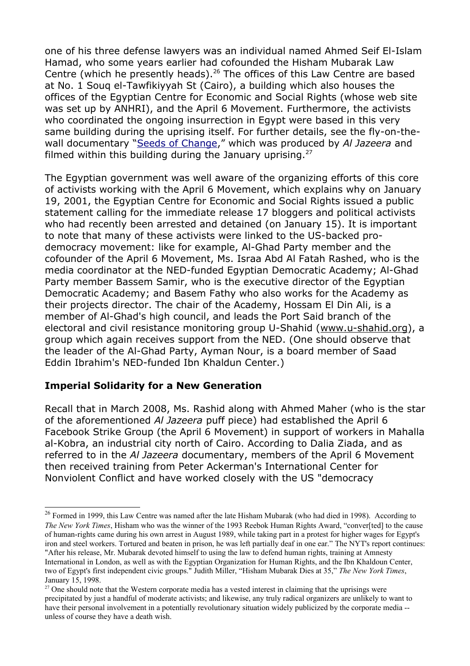one of his three defense lawyers was an individual named Ahmed Seif El-Islam Hamad, who some years earlier had cofounded the Hisham Mubarak Law Centre (which he presently heads).<sup>[26](#page-11-0)</sup> The offices of this Law Centre are based at No. 1 Souq el-Tawfikiyyah St (Cairo), a building which also houses the offices of the Egyptian Centre for Economic and Social Rights (whose web site was set up by ANHRI), and the April 6 Movement. Furthermore, the activists who coordinated the ongoing insurrection in Egypt were based in this very same building during the uprising itself. For further details, see the fly-on-thewall documentary ["Seeds of Change,](http://english.aljazeera.net/programmes/peopleandpower/2011/02/201128145549829916.html%20)" which was produced by *Al Jazeera* and filmed within this building during the January uprising. $27$ 

The Egyptian government was well aware of the organizing efforts of this core of activists working with the April 6 Movement, which explains why on January 19, 2001, the Egyptian Centre for Economic and Social Rights issued a public statement calling for the immediate release 17 bloggers and political activists who had recently been arrested and detained (on January 15). It is important to note that many of these activists were linked to the US-backed prodemocracy movement: like for example, Al-Ghad Party member and the cofounder of the April 6 Movement, Ms. Israa Abd Al Fatah Rashed, who is the media coordinator at the NED-funded Egyptian Democratic Academy; Al-Ghad Party member Bassem Samir, who is the executive director of the Egyptian Democratic Academy; and Basem Fathy who also works for the Academy as their projects director. The chair of the Academy, Hossam El Din Ali, is a member of Al-Ghad's high council, and leads the Port Said branch of the electoral and civil resistance monitoring group U-Shahid (www.u-shahid.org), a group which again receives support from the NED. (One should observe that the leader of the Al-Ghad Party, Ayman Nour, is a board member of Saad Eddin Ibrahim's NED-funded Ibn Khaldun Center.)

### **Imperial Solidarity for a New Generation**

Recall that in March 2008, Ms. Rashid along with Ahmed Maher (who is the star of the aforementioned *Al Jazeera* puff piece) had established the April 6 Facebook Strike Group (the April 6 Movement) in support of workers in Mahalla al-Kobra, an industrial city north of Cairo. According to Dalia Ziada, and as referred to in the *Al Jazeera* documentary, members of the April 6 Movement then received training from Peter Ackerman's International Center for Nonviolent Conflict and have worked closely with the US "democracy

<span id="page-11-0"></span><sup>&</sup>lt;sup>26</sup> Formed in 1999, this Law Centre was named after the late Hisham Mubarak (who had died in 1998). According to *The New York Times*, Hisham who was the winner of the 1993 Reebok Human Rights Award, "converfted] to the cause of human-rights came during his own arrest in August 1989, while taking part in a protest for higher wages for Egypt's iron and steel workers. Tortured and beaten in prison, he was left partially deaf in one ear." The NYT's report continues: "After his release, Mr. Mubarak devoted himself to using the law to defend human rights, training at Amnesty International in London, as well as with the Egyptian Organization for Human Rights, and the Ibn Khaldoun Center, two of Egypt's first independent civic groups." Judith Miller, "Hisham Mubarak Dies at 35," *The New York Times*, January 15, 1998.

<span id="page-11-1"></span><sup>&</sup>lt;sup>27</sup> One should note that the Western corporate media has a vested interest in claiming that the uprisings were precipitated by just a handful of moderate activists; and likewise, any truly radical organizers are unlikely to want to have their personal involvement in a potentially revolutionary situation widely publicized by the corporate media - unless of course they have a death wish.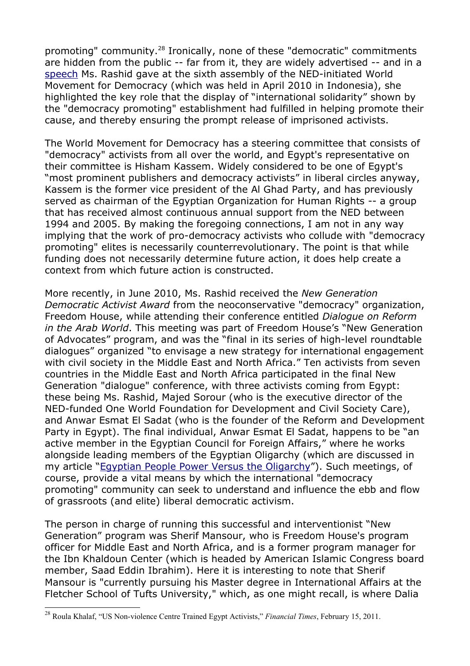promoting" community.[28](#page-12-0) Ironically, none of these "democratic" commitments are hidden from the public -- far from it, they are widely advertised -- and in a [speech](http://www.wmd.org/assemblies/sixth-assembly/remarks/presentation-esraa-rashid%20) Ms. Rashid gave at the sixth assembly of the NED-initiated World Movement for Democracy (which was held in April 2010 in Indonesia), she highlighted the key role that the display of "international solidarity" shown by the "democracy promoting" establishment had fulfilled in helping promote their cause, and thereby ensuring the prompt release of imprisoned activists.

The World Movement for Democracy has a steering committee that consists of "democracy" activists from all over the world, and Egypt's representative on their committee is Hisham Kassem. Widely considered to be one of Egypt's "most prominent publishers and democracy activists" in liberal circles anyway, Kassem is the former vice president of the Al Ghad Party, and has previously served as chairman of the Egyptian Organization for Human Rights -- a group that has received almost continuous annual support from the NED between 1994 and 2005. By making the foregoing connections, I am not in any way implying that the work of pro-democracy activists who collude with "democracy promoting" elites is necessarily counterrevolutionary. The point is that while funding does not necessarily determine future action, it does help create a context from which future action is constructed.

More recently, in June 2010, Ms. Rashid received the *New Generation Democratic Activist Award* from the neoconservative "democracy" organization, Freedom House, while attending their conference entitled *Dialogue on Reform in the Arab World*. This meeting was part of Freedom House's "New Generation of Advocates" program, and was the "final in its series of high-level roundtable dialogues" organized "to envisage a new strategy for international engagement with civil society in the Middle East and North Africa." Ten activists from seven countries in the Middle East and North Africa participated in the final New Generation "dialogue" conference, with three activists coming from Egypt: these being Ms. Rashid, Majed Sorour (who is the executive director of the NED-funded One World Foundation for Development and Civil Society Care), and Anwar Esmat El Sadat (who is the founder of the Reform and Development Party in Egypt). The final individual, Anwar Esmat El Sadat, happens to be "an active member in the Egyptian Council for Foreign Affairs," where he works alongside leading members of the Egyptian Oligarchy (which are discussed in my article ["Egyptian People Power Versus the Oligarchy"](http://pulsemedia.org/2011/02/12/egyptian-people-power-versus-the-oligarchy/%20)). Such meetings, of course, provide a vital means by which the international "democracy promoting" community can seek to understand and influence the ebb and flow of grassroots (and elite) liberal democratic activism.

The person in charge of running this successful and interventionist "New Generation" program was Sherif Mansour, who is Freedom House's program officer for Middle East and North Africa, and is a former program manager for the Ibn Khaldoun Center (which is headed by American Islamic Congress board member, Saad Eddin Ibrahim). Here it is interesting to note that Sherif Mansour is "currently pursuing his Master degree in International Affairs at the Fletcher School of Tufts University," which, as one might recall, is where Dalia

<span id="page-12-0"></span><sup>28</sup> Roula Khalaf, "US Non-violence Centre Trained Egypt Activists," *Financial Times*, February 15, 2011.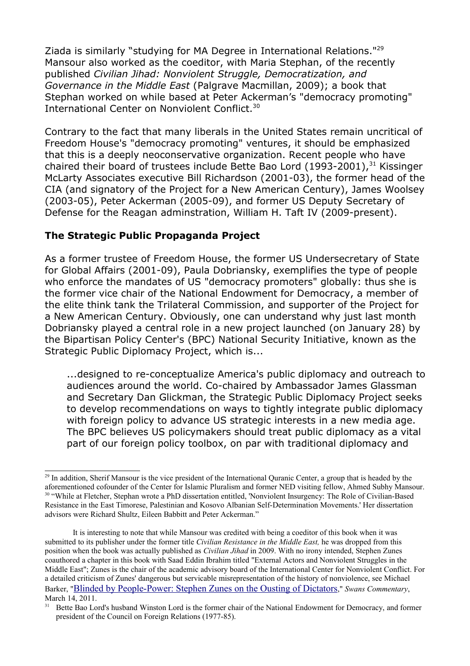Ziada is similarly "studying for MA Degree in International Relations."[29](#page-13-0) Mansour also worked as the coeditor, with Maria Stephan, of the recently published *Civilian Jihad: Nonviolent Struggle, Democratization, and Governance in the Middle East* (Palgrave Macmillan, 2009); a book that Stephan worked on while based at Peter Ackerman's "democracy promoting" International Center on Nonviolent Conflict.<sup>30</sup>

Contrary to the fact that many liberals in the United States remain uncritical of Freedom House's "democracy promoting" ventures, it should be emphasized that this is a deeply neoconservative organization. Recent people who have chaired their board of trustees include Bette Bao Lord (1993-2001), $31$  Kissinger McLarty Associates executive Bill Richardson (2001-03), the former head of the CIA (and signatory of the Project for a New American Century), James Woolsey (2003-05), Peter Ackerman (2005-09), and former US Deputy Secretary of Defense for the Reagan adminstration, William H. Taft IV (2009-present).

### **The Strategic Public Propaganda Project**

As a former trustee of Freedom House, the former US Undersecretary of State for Global Affairs (2001-09), Paula Dobriansky, exemplifies the type of people who enforce the mandates of US "democracy promoters" globally: thus she is the former vice chair of the National Endowment for Democracy, a member of the elite think tank the Trilateral Commission, and supporter of the Project for a New American Century. Obviously, one can understand why just last month Dobriansky played a central role in a new project launched (on January 28) by the Bipartisan Policy Center's (BPC) National Security Initiative, known as the Strategic Public Diplomacy Project, which is...

...designed to re-conceptualize America's public diplomacy and outreach to audiences around the world. Co-chaired by Ambassador James Glassman and Secretary Dan Glickman, the Strategic Public Diplomacy Project seeks to develop recommendations on ways to tightly integrate public diplomacy with foreign policy to advance US strategic interests in a new media age. The BPC believes US policymakers should treat public diplomacy as a vital part of our foreign policy toolbox, on par with traditional diplomacy and

<span id="page-13-1"></span><span id="page-13-0"></span><sup>&</sup>lt;sup>29</sup> In addition, Sherif Mansour is the vice president of the International Quranic Center, a group that is headed by the aforementioned cofounder of the Center for Islamic Pluralism and former NED visiting fellow, Ahmed Subhy Mansour. <sup>30</sup> "While at Fletcher, Stephan wrote a PhD dissertation entitled, 'Nonviolent Insurgency: The Role of Civilian-Based Resistance in the East Timorese, Palestinian and Kosovo Albanian Self-Determination Movements.' Her dissertation advisors were Richard Shultz, Eileen Babbitt and Peter Ackerman."

It is interesting to note that while Mansour was credited with being a coeditor of this book when it was submitted to its publisher under the former title *Civilian Resistance in the Middle East,* he was dropped from this position when the book was actually published as *Civilian Jihad* in 2009. With no irony intended, Stephen Zunes coauthored a chapter in this book with Saad Eddin Ibrahim titled "External Actors and Nonviolent Struggles in the Middle East"; Zunes is the chair of the academic advisory board of the International Center for Nonviolent Conflict. For a detailed criticism of Zunes' dangerous but servicable misrepresentation of the history of nonviolence, see Michael Barker, "[Blinded by People-Power: Stephen Zunes on the Ousting of Dictators](http://www.swans.com/library/art17/barker74.html)," *Swans Commentary*, March 14, 2011.

<span id="page-13-2"></span><sup>&</sup>lt;sup>31</sup> Bette Bao Lord's husband Winston Lord is the former chair of the National Endowment for Democracy, and former president of the Council on Foreign Relations (1977-85).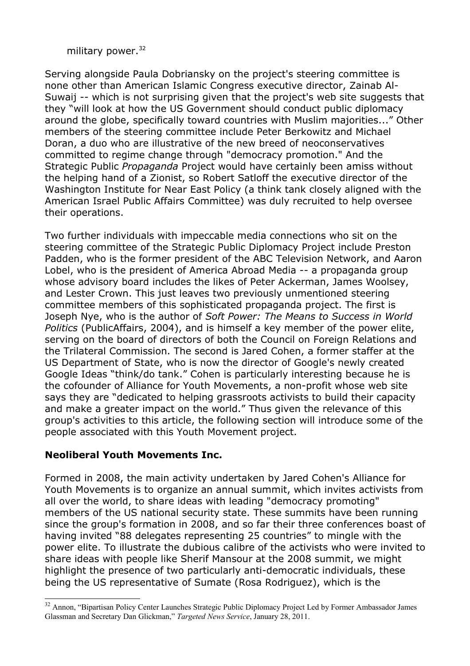### military power.<sup>[32](#page-14-0)</sup>

Serving alongside Paula Dobriansky on the project's steering committee is none other than American Islamic Congress executive director, Zainab Al-Suwaij -- which is not surprising given that the project's web site suggests that they "will look at how the US Government should conduct public diplomacy around the globe, specifically toward countries with Muslim majorities..." Other members of the steering committee include Peter Berkowitz and Michael Doran, a duo who are illustrative of the new breed of neoconservatives committed to regime change through "democracy promotion." And the Strategic Public *Propaganda* Project would have certainly been amiss without the helping hand of a Zionist, so Robert Satloff the executive director of the Washington Institute for Near East Policy (a think tank closely aligned with the American Israel Public Affairs Committee) was duly recruited to help oversee their operations.

Two further individuals with impeccable media connections who sit on the steering committee of the Strategic Public Diplomacy Project include Preston Padden, who is the former president of the ABC Television Network, and Aaron Lobel, who is the president of America Abroad Media -- a propaganda group whose advisory board includes the likes of Peter Ackerman, James Woolsey, and Lester Crown. This just leaves two previously unmentioned steering committee members of this sophisticated propaganda project. The first is Joseph Nye, who is the author of *Soft Power: The Means to Success in World Politics* (PublicAffairs, 2004), and is himself a key member of the power elite, serving on the board of directors of both the Council on Foreign Relations and the Trilateral Commission. The second is Jared Cohen, a former staffer at the US Department of State, who is now the director of Google's newly created Google Ideas "think/do tank." Cohen is particularly interesting because he is the cofounder of Alliance for Youth Movements, a non-profit whose web site says they are "dedicated to helping grassroots activists to build their capacity and make a greater impact on the world." Thus given the relevance of this group's activities to this article, the following section will introduce some of the people associated with this Youth Movement project.

### **Neoliberal Youth Movements Inc.**

Formed in 2008, the main activity undertaken by Jared Cohen's Alliance for Youth Movements is to organize an annual summit, which invites activists from all over the world, to share ideas with leading "democracy promoting" members of the US national security state. These summits have been running since the group's formation in 2008, and so far their three conferences boast of having invited "88 delegates representing 25 countries" to mingle with the power elite. To illustrate the dubious calibre of the activists who were invited to share ideas with people like Sherif Mansour at the 2008 summit, we might highlight the presence of two particularly anti-democratic individuals, these being the US representative of Sumate (Rosa Rodriguez), which is the

<span id="page-14-0"></span><sup>&</sup>lt;sup>32</sup> Annon, "Bipartisan Policy Center Launches Strategic Public Diplomacy Project Led by Former Ambassador James Glassman and Secretary Dan Glickman," *Targeted News Service*, January 28, 2011.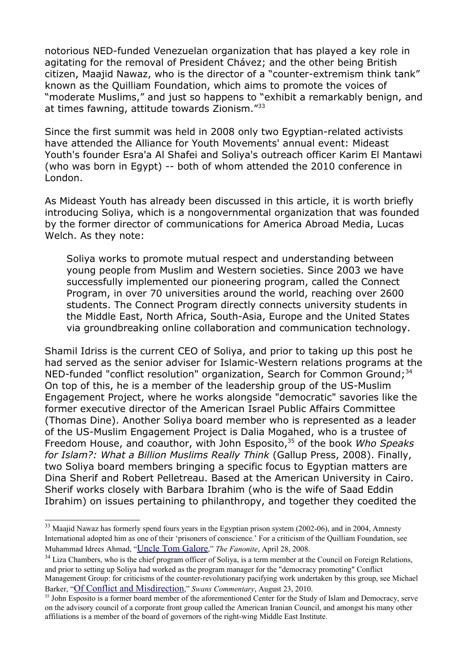notorious NED-funded Venezuelan organization that has played a key role in agitating for the removal of President Chávez; and the other being British citizen, Maajid Nawaz, who is the director of a "counter-extremism think tank" known as the Quilliam Foundation, which aims to promote the voices of "moderate Muslims," and just so happens to "exhibit a remarkably benign, and at times fawning, attitude towards Zionism."[33](#page-15-0)

Since the first summit was held in 2008 only two Egyptian-related activists have attended the Alliance for Youth Movements' annual event: Mideast Youth's founder Esra'a Al Shafei and Soliya's outreach officer Karim El Mantawi (who was born in Egypt) -- both of whom attended the 2010 conference in London.

As Mideast Youth has already been discussed in this article, it is worth briefly introducing Soliya, which is a nongovernmental organization that was founded by the former director of communications for America Abroad Media, Lucas Welch. As they note:

Soliya works to promote mutual respect and understanding between young people from Muslim and Western societies. Since 2003 we have successfully implemented our pioneering program, called the Connect Program, in over 70 universities around the world, reaching over 2600 students. The Connect Program directly connects university students in the Middle East, North Africa, South-Asia, Europe and the United States via groundbreaking online collaboration and communication technology.

Shamil Idriss is the current CEO of Soliya, and prior to taking up this post he had served as the senior adviser for Islamic-Western relations programs at the NED-funded "conflict resolution" organization, Search for Common Ground; $34$ On top of this, he is a member of the leadership group of the US-Muslim Engagement Project, where he works alongside "democratic" savories like the former executive director of the American Israel Public Affairs Committee (Thomas Dine). Another Soliya board member who is represented as a leader of the US-Muslim Engagement Project is Dalia Mogahed, who is a trustee of Freedom House, and coauthor, with John Esposito,[35](#page-15-2) of the book *Who Speaks for Islam?: What a Billion Muslims Really Think* (Gallup Press, 2008). Finally, two Soliya board members bringing a specific focus to Egyptian matters are Dina Sherif and Robert Pelletreau. Based at the American University in Cairo. Sherif works closely with Barbara Ibrahim (who is the wife of Saad Eddin Ibrahim) on issues pertaining to philanthropy, and together they coedited the

<span id="page-15-0"></span><sup>&</sup>lt;sup>33</sup> Maajid Nawaz has formerly spend fours years in the Egyptian prison system (2002-06), and in 2004, Amnesty International adopted him as one of their 'prisoners of conscience.' For a criticism of the Quilliam Foundation, see Muhammad Idrees Ahmad, "[Uncle Tom Galore](http://fanonite.org/2008/04/26/uncle-tom-galore/)," *The Fanonite*, April 28, 2008.

<span id="page-15-1"></span> $34$  Liza Chambers, who is the chief program officer of Soliya, is a term member at the Council on Foreign Relations and prior to setting up Soliya had worked as the program manager for the "democracy promoting" Conflict Management Group: for criticisms of the counter-revolutionary pacifying work undertaken by this group, see Michael Barker, "[Of Conflict and Misdirection](http://www.swans.com/library/art16/barker63.html%20)," *Swans Commentary*, August 23, 2010.

<span id="page-15-2"></span><sup>&</sup>lt;sup>35</sup> John Esposito is a former board member of the aforementioned Center for the Study of Islam and Democracy, serve on the advisory council of a corporate front group called the American Iranian Council, and amongst his many other affiliations is a member of the board of governors of the right-wing Middle East Institute.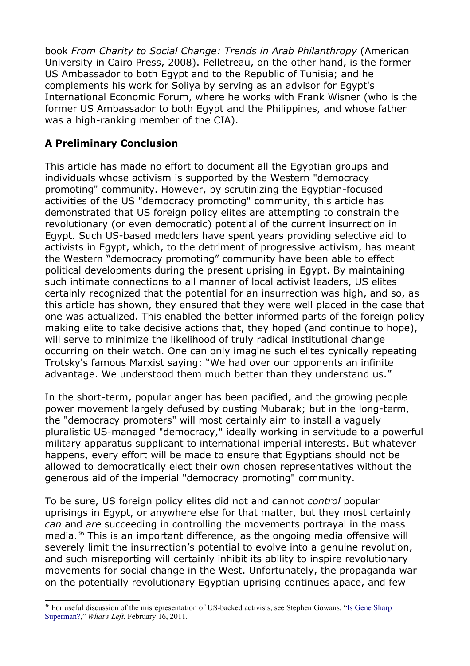book *From Charity to Social Change: Trends in Arab Philanthropy* (American University in Cairo Press, 2008). Pelletreau, on the other hand, is the former US Ambassador to both Egypt and to the Republic of Tunisia; and he complements his work for Soliya by serving as an advisor for Egypt's International Economic Forum, where he works with Frank Wisner (who is the former US Ambassador to both Egypt and the Philippines, and whose father was a high-ranking member of the CIA).

## **A Preliminary Conclusion**

This article has made no effort to document all the Egyptian groups and individuals whose activism is supported by the Western "democracy promoting" community. However, by scrutinizing the Egyptian-focused activities of the US "democracy promoting" community, this article has demonstrated that US foreign policy elites are attempting to constrain the revolutionary (or even democratic) potential of the current insurrection in Egypt. Such US-based meddlers have spent years providing selective aid to activists in Egypt, which, to the detriment of progressive activism, has meant the Western "democracy promoting" community have been able to effect political developments during the present uprising in Egypt. By maintaining such intimate connections to all manner of local activist leaders, US elites certainly recognized that the potential for an insurrection was high, and so, as this article has shown, they ensured that they were well placed in the case that one was actualized. This enabled the better informed parts of the foreign policy making elite to take decisive actions that, they hoped (and continue to hope), will serve to minimize the likelihood of truly radical institutional change occurring on their watch. One can only imagine such elites cynically repeating Trotsky's famous Marxist saying: "We had over our opponents an infinite advantage. We understood them much better than they understand us."

In the short-term, popular anger has been pacified, and the growing people power movement largely defused by ousting Mubarak; but in the long-term, the "democracy promoters" will most certainly aim to install a vaguely pluralistic US-managed "democracy," ideally working in servitude to a powerful military apparatus supplicant to international imperial interests. But whatever happens, every effort will be made to ensure that Egyptians should not be allowed to democratically elect their own chosen representatives without the generous aid of the imperial "democracy promoting" community.

To be sure, US foreign policy elites did not and cannot *control* popular uprisings in Egypt, or anywhere else for that matter, but they most certainly *can* and *are* succeeding in controlling the movements portrayal in the mass media.[36](#page-16-0) This is an important difference, as the ongoing media offensive will severely limit the insurrection's potential to evolve into a genuine revolution, and such misreporting will certainly inhibit its ability to inspire revolutionary movements for social change in the West. Unfortunately, the propaganda war on the potentially revolutionary Egyptian uprising continues apace, and few

<span id="page-16-0"></span><sup>&</sup>lt;sup>36</sup> For useful discussion of the misrepresentation of US-backed activists, see Stephen Gowans, ["Is Gene Sharp](http://gowans.wordpress.com/2011/02/16/is-gene-sharp-superman/) [Superman?,](http://gowans.wordpress.com/2011/02/16/is-gene-sharp-superman/)" *What's Left*, February 16, 2011.